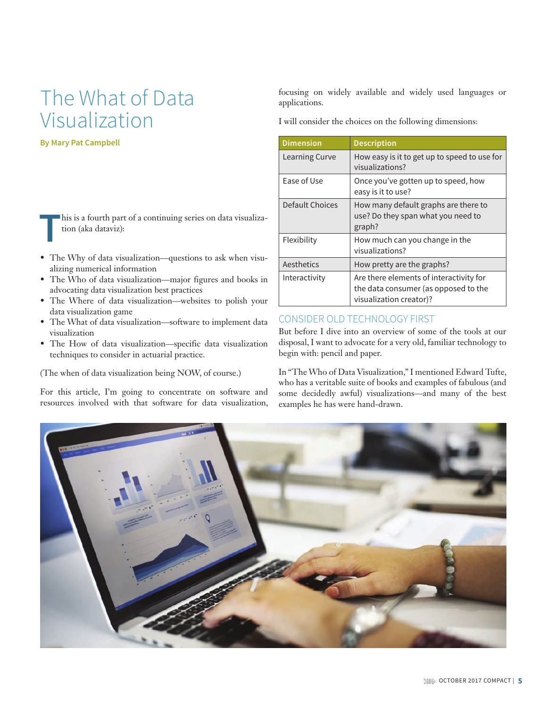# The What of Data Visualization

**By Mary Pat Campbell**

**T**his is a fourth part of a continuing series on data visualization (aka dataviz):

- The Why of data visualization—questions to ask when visualizing numerical information
- The Who of data visualization—major figures and books in advocating data visualization best practices
- The Where of data visualization—websites to polish your data visualization game
- The What of data visualization—software to implement data visualization
- The How of data visualization—specific data visualization techniques to consider in actuarial practice.

(The when of data visualization being NOW, of course.)

For this article, I'm going to concentrate on software and resources involved with that software for data visualization,

focusing on widely available and widely used languages or applications.

I will consider the choices on the following dimensions:

| <b>Dimension</b> | <b>Description</b>                                                                                         |
|------------------|------------------------------------------------------------------------------------------------------------|
| Learning Curve   | How easy is it to get up to speed to use for<br>visualizations?                                            |
| Ease of Use      | Once you've gotten up to speed, how<br>easy is it to use?                                                  |
| Default Choices  | How many default graphs are there to<br>use? Do they span what you need to<br>graph?                       |
| Flexibility      | How much can you change in the<br>visualizations?                                                          |
| Aesthetics       | How pretty are the graphs?                                                                                 |
| Interactivity    | Are there elements of interactivity for<br>the data consumer (as opposed to the<br>visualization creator)? |

# CONSIDER OLD TECHNOLOGY FIRST

But before I dive into an overview of some of the tools at our disposal, I want to advocate for a very old, familiar technology to begin with: pencil and paper.

In "The Who of Data Visualization," I mentioned Edward Tufte, who has a veritable suite of books and examples of fabulous (and some decidedly awful) visualizations—and many of the best examples he has were hand-drawn.

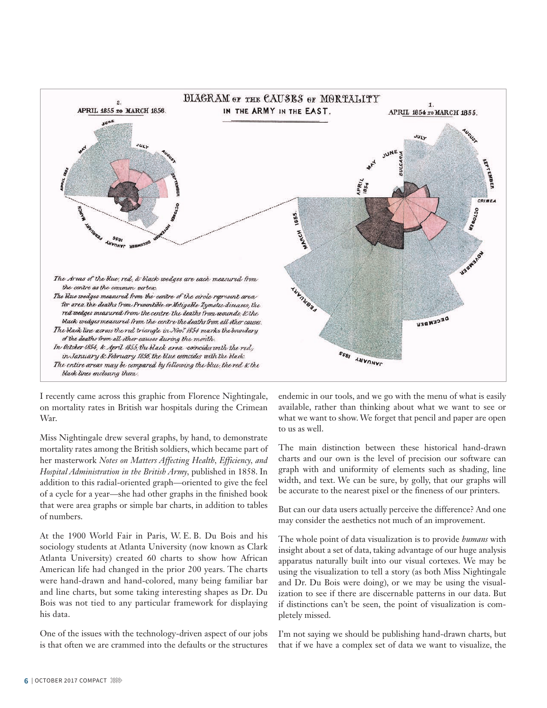

I recently came across this graphic from Florence Nightingale, on mortality rates in British war hospitals during the Crimean War.

Miss Nightingale drew several graphs, by hand, to demonstrate mortality rates among the British soldiers, which became part of her masterwork *Notes on Matters Affecting Health, Efficiency, and Hospital Administration in the British Army,* published in 1858. In addition to this radial-oriented graph—oriented to give the feel of a cycle for a year—she had other graphs in the finished book that were area graphs or simple bar charts, in addition to tables of numbers.

At the 1900 World Fair in Paris, W. E. B. Du Bois and his sociology students at Atlanta University (now known as Clark Atlanta University) created 60 charts to show how African American life had changed in the prior 200 years. The charts were hand-drawn and hand-colored, many being familiar bar and line charts, but some taking interesting shapes as Dr. Du Bois was not tied to any particular framework for displaying his data.

One of the issues with the technology-driven aspect of our jobs is that often we are crammed into the defaults or the structures endemic in our tools, and we go with the menu of what is easily available, rather than thinking about what we want to see or what we want to show. We forget that pencil and paper are open to us as well.

The main distinction between these historical hand-drawn charts and our own is the level of precision our software can graph with and uniformity of elements such as shading, line width, and text. We can be sure, by golly, that our graphs will be accurate to the nearest pixel or the fineness of our printers.

But can our data users actually perceive the difference? And one may consider the aesthetics not much of an improvement.

The whole point of data visualization is to provide *humans* with insight about a set of data, taking advantage of our huge analysis apparatus naturally built into our visual cortexes. We may be using the visualization to tell a story (as both Miss Nightingale and Dr. Du Bois were doing), or we may be using the visualization to see if there are discernable patterns in our data. But if distinctions can't be seen, the point of visualization is completely missed.

I'm not saying we should be publishing hand-drawn charts, but that if we have a complex set of data we want to visualize, the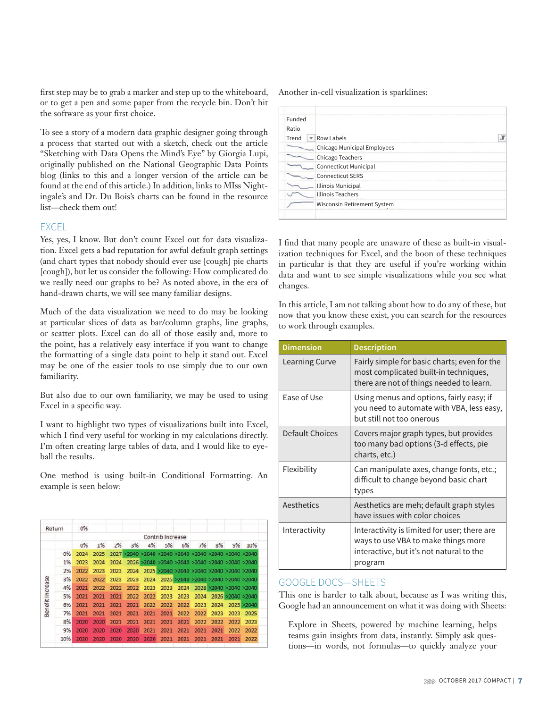first step may be to grab a marker and step up to the whiteboard, or to get a pen and some paper from the recycle bin. Don't hit the software as your first choice.

To see a story of a modern data graphic designer going through a process that started out with a sketch, check out the article "Sketching with Data Opens the Mind's Eye" by Giorgia Lupi, originally published on the National Geographic Data Points blog (links to this and a longer version of the article can be found at the end of this article.) In addition, links to MIss Nightingale's and Dr. Du Bois's charts can be found in the resource list—check them out!

#### EXCEL

Yes, yes, I know. But don't count Excel out for data visualization. Excel gets a bad reputation for awful default graph settings (and chart types that nobody should ever use [cough] pie charts [cough]), but let us consider the following: How complicated do we really need our graphs to be? As noted above, in the era of hand- drawn charts, we will see many familiar designs.

Much of the data visualization we need to do may be looking at particular slices of data as bar/column graphs, line graphs, or scatter plots. Excel can do all of those easily and, more to the point, has a relatively easy interface if you want to change the formatting of a single data point to help it stand out. Excel may be one of the easier tools to use simply due to our own familiarity.

But also due to our own familiarity, we may be used to using Excel in a specific way.

I want to highlight two types of visualizations built into Excel, which I find very useful for working in my calculations directly. I'm often creating large tables of data, and I would like to eyeball the results.

One method is using built-in Conditional Formatting. An example is seen below:

| Return           |     | 0%   |                  |      |      |      |      |      |      |      |      |                                                      |
|------------------|-----|------|------------------|------|------|------|------|------|------|------|------|------------------------------------------------------|
|                  |     |      | Contrib Increase |      |      |      |      |      |      |      |      |                                                      |
|                  |     | 0%   | 1%               | 2%   | 3%   | 4%   | 5%   | 6%   | 7%   | 8%   | 9%   | 10%                                                  |
|                  | 0%  | 2024 | 2025             |      |      |      |      |      |      |      |      | 2027 >2040 >2040 >2040 >2040 >2040 >2040 >2040 >2040 |
|                  | 1%  | 2023 | 2024             | 2024 |      |      |      |      |      |      |      | 2026 >2040 >2040 >2040 >2040 >2040 >2040 >2040       |
|                  | 2%  | 2022 | 2023             | 2023 | 2024 |      |      |      |      |      |      | 2025 >2040 >2040 >2040 >2040 >2040 >2040             |
|                  | 3%  | 2022 | 2022             | 2023 | 2023 | 2024 |      |      |      |      |      | 2025 >2040 >2040 >2040 >2040 >2040                   |
| Benefit Increase | 4%  | 2021 | 2022             | 2022 | 2022 | 2023 | 2023 | 2024 |      |      |      | 2028 >2040 >2040 >2040                               |
|                  | 5%  | 2021 | 2021             | 2021 | 2022 | 2022 | 2023 | 2023 | 2024 |      |      | 2026 >2040 >2040                                     |
|                  | 6%  | 2021 | 2021             | 2021 | 2021 | 2022 | 2022 | 2022 | 2023 | 2024 |      | 2025 > 2040                                          |
|                  | 7%  | 2021 | 2021             | 2021 | 2021 | 2021 | 2021 | 2022 | 2022 | 2023 | 2023 | 2025                                                 |
|                  | 8%  | 2020 | 2020             | 2021 | 2021 | 2021 | 2021 | 2021 | 2022 | 2022 | 2022 | 2023                                                 |
|                  | 9%  | 2020 | 2020             | 2020 | 2020 | 2021 | 2021 | 2021 | 2021 | 2021 | 2022 | 2022                                                 |
|                  | 10% | 2020 | 2020             | 2020 | 2020 | 2020 | 2021 | 2021 | 2021 | 2021 | 2021 | 2022                                                 |
|                  |     |      |                  |      |      |      |      |      |      |      |      |                                                      |

Another in-cell visualization is sparklines:

| Funded |                              |
|--------|------------------------------|
| Ratio  |                              |
| Trend  | <b>Row Labels</b>            |
|        | Chicago Municipal Employees  |
|        | Chicago Teachers             |
|        | <b>Connecticut Municipal</b> |
|        | <b>Connecticut SERS</b>      |
|        | Illinois Municipal           |
|        | <b>Illinois Teachers</b>     |
|        | Wisconsin Retirement System  |
|        |                              |

I find that many people are unaware of these as built-in visualization techniques for Excel, and the boon of these techniques in particular is that they are useful if you're working within data and want to see simple visualizations while you see what changes.

In this article, I am not talking about how to do any of these, but now that you know these exist, you can search for the resources to work through examples.

| <b>Dimension</b> | <b>Description</b>                                                                                                                         |
|------------------|--------------------------------------------------------------------------------------------------------------------------------------------|
| Learning Curve   | Fairly simple for basic charts; even for the<br>most complicated built-in techniques,<br>there are not of things needed to learn.          |
| Ease of Use      | Using menus and options, fairly easy; if<br>you need to automate with VBA, less easy,<br>but still not too onerous                         |
| Default Choices  | Covers major graph types, but provides<br>too many bad options (3-d effects, pie<br>charts, etc.)                                          |
| Flexibility      | Can manipulate axes, change fonts, etc.;<br>difficult to change beyond basic chart<br>types                                                |
| Aesthetics       | Aesthetics are meh; default graph styles<br>have issues with color choices                                                                 |
| Interactivity    | Interactivity is limited for user; there are<br>ways to use VBA to make things more<br>interactive, but it's not natural to the<br>program |

### GOOGLE DOCS—SHEETS

This one is harder to talk about, because as I was writing this, Google had an announcement on what it was doing with Sheets:

Explore in Sheets, powered by machine learning, helps teams gain insights from data, instantly. Simply ask questions—in words, not formulas—to quickly analyze your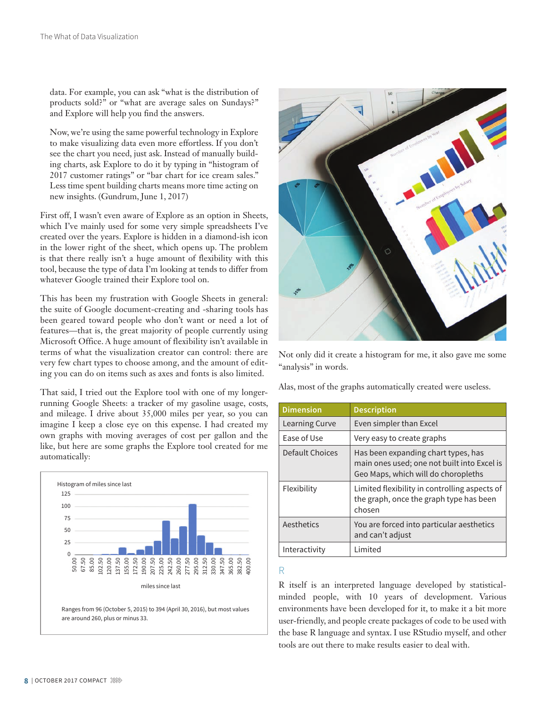data. For example, you can ask "what is the distribution of products sold?" or "what are average sales on Sundays?" and Explore will help you find the answers.

Now, we're using the same powerful technology in Explore to make visualizing data even more effortless. If you don't see the chart you need, just ask. Instead of manually building charts, ask Explore to do it by typing in "histogram of 2017 customer ratings" or "bar chart for ice cream sales." Less time spent building charts means more time acting on new insights. (Gundrum, June 1, 2017)

First off, I wasn't even aware of Explore as an option in Sheets, which I've mainly used for some very simple spreadsheets I've created over the years. Explore is hidden in a diamond-ish icon in the lower right of the sheet, which opens up. The problem is that there really isn't a huge amount of flexibility with this tool, because the type of data I'm looking at tends to differ from whatever Google trained their Explore tool on.

This has been my frustration with Google Sheets in general: the suite of Google document- creating and - sharing tools has been geared toward people who don't want or need a lot of features—that is, the great majority of people currently using Microsoft Office. A huge amount of flexibility isn't available in terms of what the visualization creator can control: there are very few chart types to choose among, and the amount of editing you can do on items such as axes and fonts is also limited.

That said, I tried out the Explore tool with one of my longerrunning Google Sheets: a tracker of my gasoline usage, costs, and mileage. I drive about 35,000 miles per year, so you can imagine I keep a close eye on this expense. I had created my own graphs with moving averages of cost per gallon and the like, but here are some graphs the Explore tool created for me automatically:



are around 260, plus or minus 33.



Not only did it create a histogram for me, it also gave me some "analysis" in words.

Alas, most of the graphs automatically created were useless.

| <b>Dimension</b> | <b>Description</b>                                                                                                        |
|------------------|---------------------------------------------------------------------------------------------------------------------------|
| Learning Curve   | Even simpler than Excel                                                                                                   |
| Ease of Use      | Very easy to create graphs                                                                                                |
| Default Choices  | Has been expanding chart types, has<br>main ones used; one not built into Excel is<br>Geo Maps, which will do choropleths |
| Flexibility      | Limited flexibility in controlling aspects of<br>the graph, once the graph type has been<br>chosen                        |
| Aesthetics       | You are forced into particular aesthetics<br>and can't adjust                                                             |
| Interactivity    | Limited                                                                                                                   |

R

R itself is an interpreted language developed by statisticalminded people, with 10 years of development. Various environments have been developed for it, to make it a bit more user- friendly, and people create packages of code to be used with the base R language and syntax. I use RStudio myself, and other tools are out there to make results easier to deal with.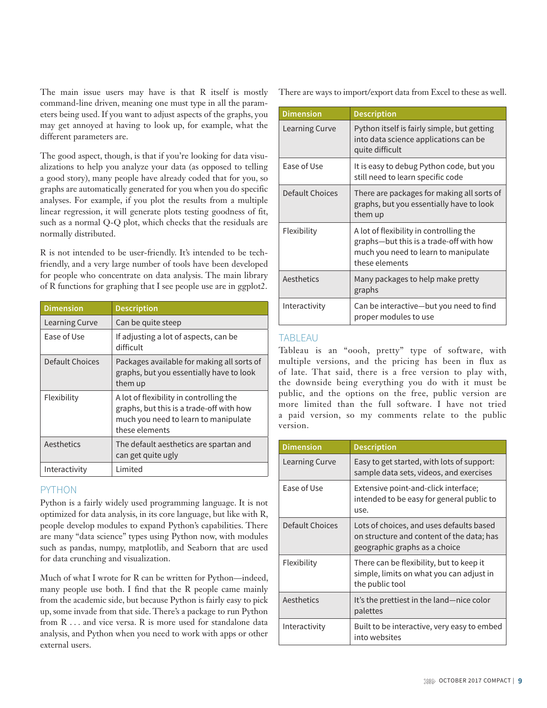The main issue users may have is that R itself is mostly command-line driven, meaning one must type in all the parameters being used. If you want to adjust aspects of the graphs, you may get annoyed at having to look up, for example, what the different parameters are.

The good aspect, though, is that if you're looking for data visualizations to help you analyze your data (as opposed to telling a good story), many people have already coded that for you, so graphs are automatically generated for you when you do specific analyses. For example, if you plot the results from a multiple linear regression, it will generate plots testing goodness of fit, such as a normal Q-Q plot, which checks that the residuals are normally distributed.

R is not intended to be user-friendly. It's intended to be techfriendly, and a very large number of tools have been developed for people who concentrate on data analysis. The main library of R functions for graphing that I see people use are in ggplot2.

| <b>Dimension</b> | <b>Description</b>                                                                                                                            |
|------------------|-----------------------------------------------------------------------------------------------------------------------------------------------|
| Learning Curve   | Can be quite steep                                                                                                                            |
| Fase of Use      | If adjusting a lot of aspects, can be<br>difficult                                                                                            |
| Default Choices  | Packages available for making all sorts of<br>graphs, but you essentially have to look<br>them up                                             |
| Flexibility      | A lot of flexibility in controlling the<br>graphs, but this is a trade-off with how<br>much you need to learn to manipulate<br>these elements |
| Aesthetics       | The default aesthetics are spartan and<br>can get quite ugly                                                                                  |
| Interactivity    | I imited                                                                                                                                      |

# PYTHON

Python is a fairly widely used programming language. It is not optimized for data analysis, in its core language, but like with R, people develop modules to expand Python's capabilities. There are many "data science" types using Python now, with modules such as pandas, numpy, matplotlib, and Seaborn that are used for data crunching and visualization.

Much of what I wrote for R can be written for Python—indeed, many people use both. I find that the R people came mainly from the academic side, but because Python is fairly easy to pick up, some invade from that side. There's a package to run Python from R . . . and vice versa. R is more used for standalone data analysis, and Python when you need to work with apps or other external users.

There are ways to import/export data from Excel to these as well.

| <b>Dimension</b>      | <b>Description</b>                                                                                                                           |
|-----------------------|----------------------------------------------------------------------------------------------------------------------------------------------|
| <b>Learning Curve</b> | Python itself is fairly simple, but getting<br>into data science applications can be<br>quite difficult                                      |
| Ease of Use           | It is easy to debug Python code, but you<br>still need to learn specific code                                                                |
| Default Choices       | There are packages for making all sorts of<br>graphs, but you essentially have to look<br>them up                                            |
| Flexibility           | A lot of flexibility in controlling the<br>graphs-but this is a trade-off with how<br>much you need to learn to manipulate<br>these elements |
| Aesthetics            | Many packages to help make pretty<br>graphs                                                                                                  |
| Interactivity         | Can be interactive—but you need to find<br>proper modules to use                                                                             |

# **TABLEAU**

Tableau is an "oooh, pretty" type of software, with multiple versions, and the pricing has been in flux as of late. That said, there is a free version to play with, the downside being everything you do with it must be public, and the options on the free, public version are more limited than the full software. I have not tried a paid version, so my comments relate to the public version.

| <b>Dimension</b> | <b>Description</b>                                                                                                     |
|------------------|------------------------------------------------------------------------------------------------------------------------|
| Learning Curve   | Easy to get started, with lots of support:<br>sample data sets, videos, and exercises                                  |
| Ease of Use      | Extensive point-and-click interface;<br>intended to be easy for general public to<br>use.                              |
| Default Choices  | Lots of choices, and uses defaults based<br>on structure and content of the data; has<br>geographic graphs as a choice |
| Flexibility      | There can be flexibility, but to keep it<br>simple, limits on what you can adjust in<br>the public tool                |
| Aesthetics       | It's the prettiest in the land—nice color<br>palettes                                                                  |
| Interactivity    | Built to be interactive, very easy to embed<br>into websites                                                           |